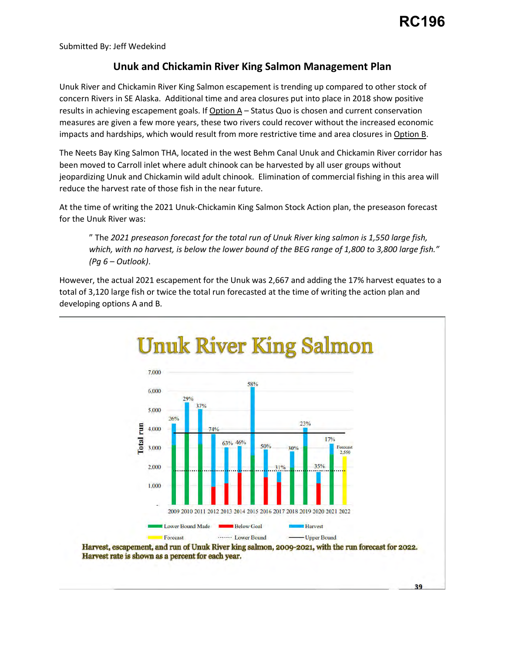39

Submitted By: Jeff Wedekind

## **Unuk and Chickamin River King Salmon Management Plan**

 concern Rivers in SE Alaska. Additional time and area closures put into place in 2018 show positive results in achieving escapement goals. If Option A - Status Quo is chosen and current conservation impacts and hardships, which would result from more restrictive time and area closures in Option B. Unuk River and Chickamin River King Salmon escapement is trending up compared to other stock of measures are given a few more years, these two rivers could recover without the increased economic

 The Neets Bay King Salmon THA, located in the west Behm Canal Unuk and Chickamin River corridor has been moved to Carroll inlet where adult chinook can be harvested by all user groups without jeopardizing Unuk and Chickamin wild adult chinook. Elimination of commercial fishing in this area will reduce the harvest rate of those fish in the near future.

 for the Unuk River was: At the time of writing the 2021 Unuk-Chickamin King Salmon Stock Action plan, the preseason forecast

 *(Pg 6 – Outlook)*. " The *2021 preseason forecast for the total run of Unuk River king salmon is 1,550 large fish, which, with no harvest, is below the lower bound of the BEG range of 1,800 to 3,800 large fish."*

 However, the actual 2021 escapement for the Unuk was 2,667 and adding the 17% harvest equates to a total of 3,120 large fish or twice the total run forecasted at the time of writing the action plan and developing options A and B.